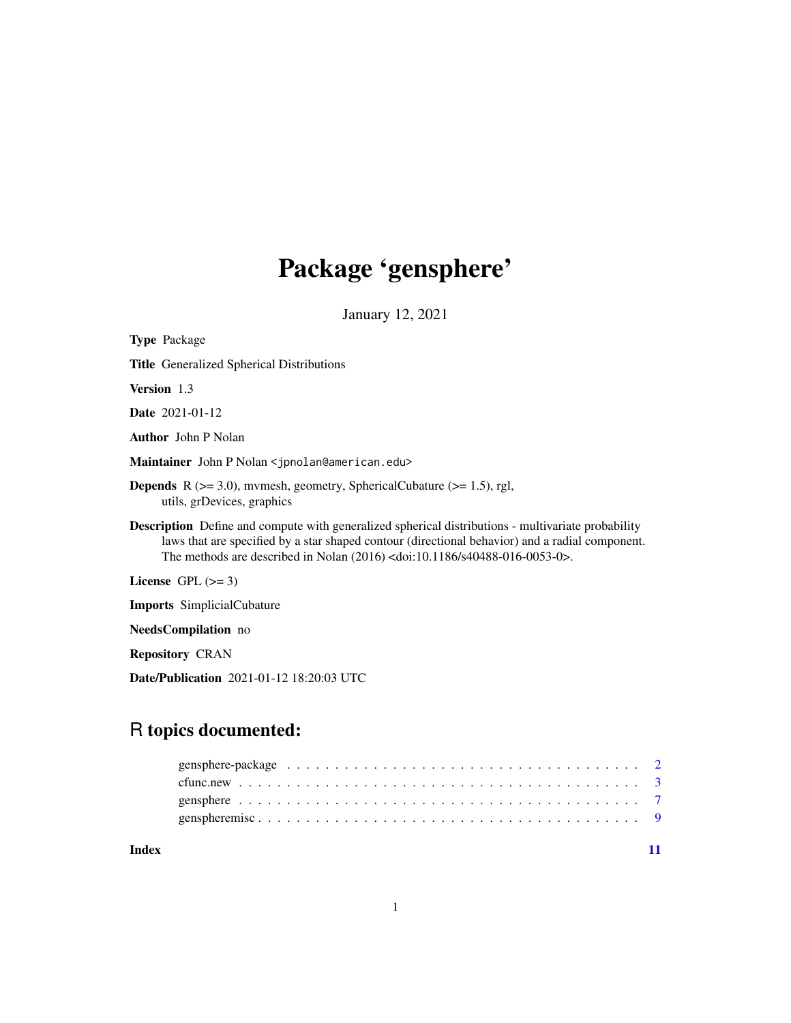# Package 'gensphere'

January 12, 2021

| <b>Type Package</b>                                                                                                                                                                                                                                                                           |
|-----------------------------------------------------------------------------------------------------------------------------------------------------------------------------------------------------------------------------------------------------------------------------------------------|
| <b>Title</b> Generalized Spherical Distributions                                                                                                                                                                                                                                              |
| <b>Version</b> 1.3                                                                                                                                                                                                                                                                            |
| <b>Date</b> 2021-01-12                                                                                                                                                                                                                                                                        |
| <b>Author</b> John P Nolan                                                                                                                                                                                                                                                                    |
| Maintainer John P Nolan < jpnolan@american.edu>                                                                                                                                                                                                                                               |
| <b>Depends</b> R ( $>= 3.0$ ), mymesh, geometry, SphericalCubature ( $>= 1.5$ ), rgl,<br>utils, grDevices, graphics                                                                                                                                                                           |
| <b>Description</b> Define and compute with generalized spherical distributions - multivariate probability<br>laws that are specified by a star shaped contour (directional behavior) and a radial component.<br>The methods are described in Nolan $(2016)$ < doi:10.1186/s40488-016-0053-0>. |
| License GPL $(>= 3)$                                                                                                                                                                                                                                                                          |
| <b>Imports</b> SimplicialCubature                                                                                                                                                                                                                                                             |
| <b>NeedsCompilation</b> no                                                                                                                                                                                                                                                                    |
| <b>Repository CRAN</b>                                                                                                                                                                                                                                                                        |

Date/Publication 2021-01-12 18:20:03 UTC

# R topics documented:

| Index |  |
|-------|--|

1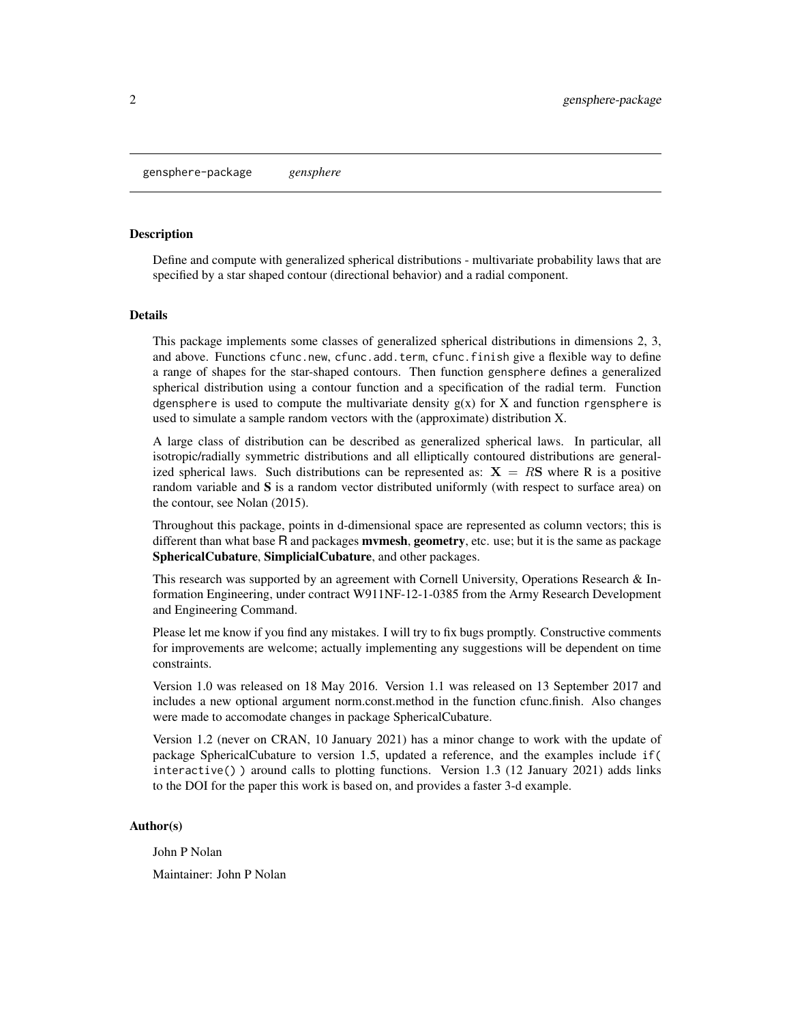# <span id="page-1-1"></span><span id="page-1-0"></span>Description

Define and compute with generalized spherical distributions - multivariate probability laws that are specified by a star shaped contour (directional behavior) and a radial component.

#### Details

This package implements some classes of generalized spherical distributions in dimensions 2, 3, and above. Functions cfunc.new, cfunc.add.term, cfunc.finish give a flexible way to define a range of shapes for the star-shaped contours. Then function gensphere defines a generalized spherical distribution using a contour function and a specification of the radial term. Function dgensphere is used to compute the multivariate density  $g(x)$  for X and function rgensphere is used to simulate a sample random vectors with the (approximate) distribution X.

A large class of distribution can be described as generalized spherical laws. In particular, all isotropic/radially symmetric distributions and all elliptically contoured distributions are generalized spherical laws. Such distributions can be represented as:  $X = RS$  where R is a positive random variable and  $S$  is a random vector distributed uniformly (with respect to surface area) on the contour, see Nolan (2015).

Throughout this package, points in d-dimensional space are represented as column vectors; this is different than what base  $R$  and packages **mymesh, geometry,** etc. use; but it is the same as package SphericalCubature, SimplicialCubature, and other packages.

This research was supported by an agreement with Cornell University, Operations Research & Information Engineering, under contract W911NF-12-1-0385 from the Army Research Development and Engineering Command.

Please let me know if you find any mistakes. I will try to fix bugs promptly. Constructive comments for improvements are welcome; actually implementing any suggestions will be dependent on time constraints.

Version 1.0 was released on 18 May 2016. Version 1.1 was released on 13 September 2017 and includes a new optional argument norm.const.method in the function cfunc.finish. Also changes were made to accomodate changes in package SphericalCubature.

Version 1.2 (never on CRAN, 10 January 2021) has a minor change to work with the update of package SphericalCubature to version 1.5, updated a reference, and the examples include if( interactive() ) around calls to plotting functions. Version 1.3 (12 January 2021) adds links to the DOI for the paper this work is based on, and provides a faster 3-d example.

#### Author(s)

John P Nolan

Maintainer: John P Nolan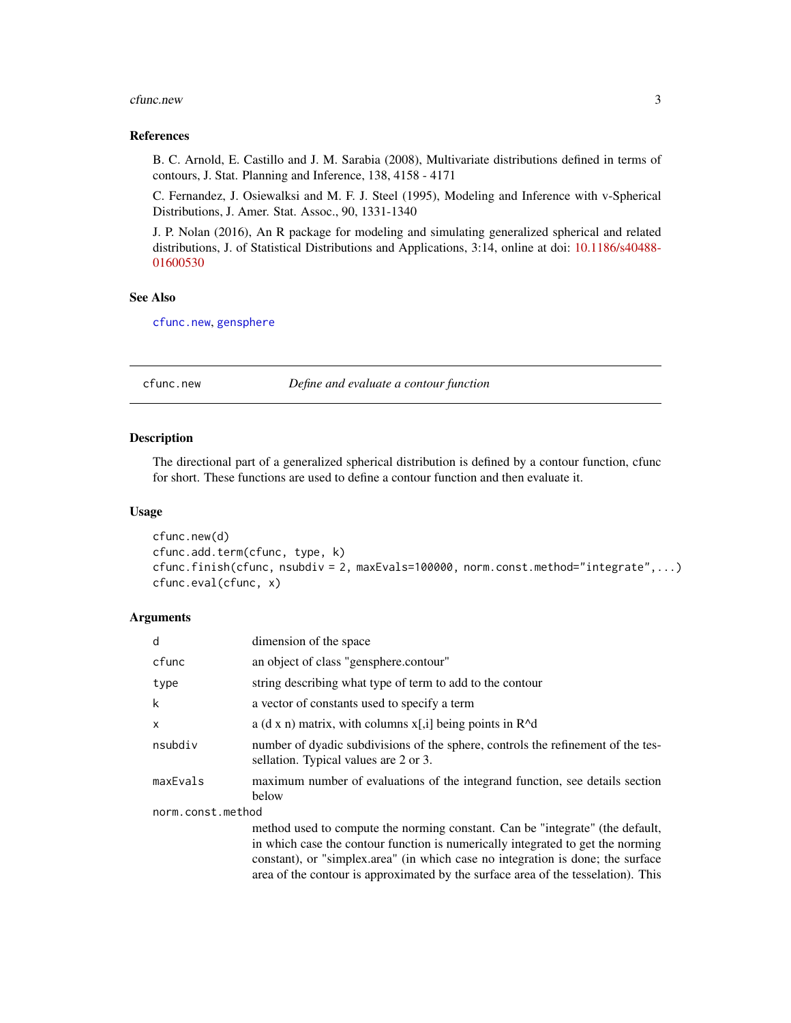#### <span id="page-2-0"></span>cfunc.new 3

#### References

B. C. Arnold, E. Castillo and J. M. Sarabia (2008), Multivariate distributions defined in terms of contours, J. Stat. Planning and Inference, 138, 4158 - 4171

C. Fernandez, J. Osiewalksi and M. F. J. Steel (1995), Modeling and Inference with v-Spherical Distributions, J. Amer. Stat. Assoc., 90, 1331-1340

J. P. Nolan (2016), An R package for modeling and simulating generalized spherical and related distributions, J. of Statistical Distributions and Applications, 3:14, online at doi: [10.1186/s40488-](https://doi.org/10.1186/s40488-016-0053-0) [01600530](https://doi.org/10.1186/s40488-016-0053-0)

# See Also

[cfunc.new](#page-2-1), [gensphere](#page-6-1)

<span id="page-2-1"></span>cfunc.new *Define and evaluate a contour function*

#### Description

The directional part of a generalized spherical distribution is defined by a contour function, cfunc for short. These functions are used to define a contour function and then evaluate it.

#### Usage

```
cfunc.new(d)
cfunc.add.term(cfunc, type, k)
cfunc.finish(cfunc, nsubdiv = 2, maxEvals=100000, norm.const.method="integrate",...)
cfunc.eval(cfunc, x)
```
#### Arguments

| d                 | dimension of the space                                                                                                                                                                                                                                                                                                                   |  |
|-------------------|------------------------------------------------------------------------------------------------------------------------------------------------------------------------------------------------------------------------------------------------------------------------------------------------------------------------------------------|--|
| cfunc             | an object of class "gensphere.contour"                                                                                                                                                                                                                                                                                                   |  |
| type              | string describing what type of term to add to the contour                                                                                                                                                                                                                                                                                |  |
| k                 | a vector of constants used to specify a term                                                                                                                                                                                                                                                                                             |  |
| X                 | a (d x n) matrix, with columns $x$ [,i] being points in $R^{\wedge}d$                                                                                                                                                                                                                                                                    |  |
| nsubdiv           | number of dyadic subdivisions of the sphere, controls the refinement of the tes-<br>sellation. Typical values are 2 or 3.                                                                                                                                                                                                                |  |
| maxEvals          | maximum number of evaluations of the integrand function, see details section<br>below                                                                                                                                                                                                                                                    |  |
| norm.const.method |                                                                                                                                                                                                                                                                                                                                          |  |
|                   | method used to compute the norming constant. Can be "integrate" (the default,<br>in which case the contour function is numerically integrated to get the norming<br>constant), or "simplex.area" (in which case no integration is done; the surface<br>area of the contour is approximated by the surface area of the tesselation). This |  |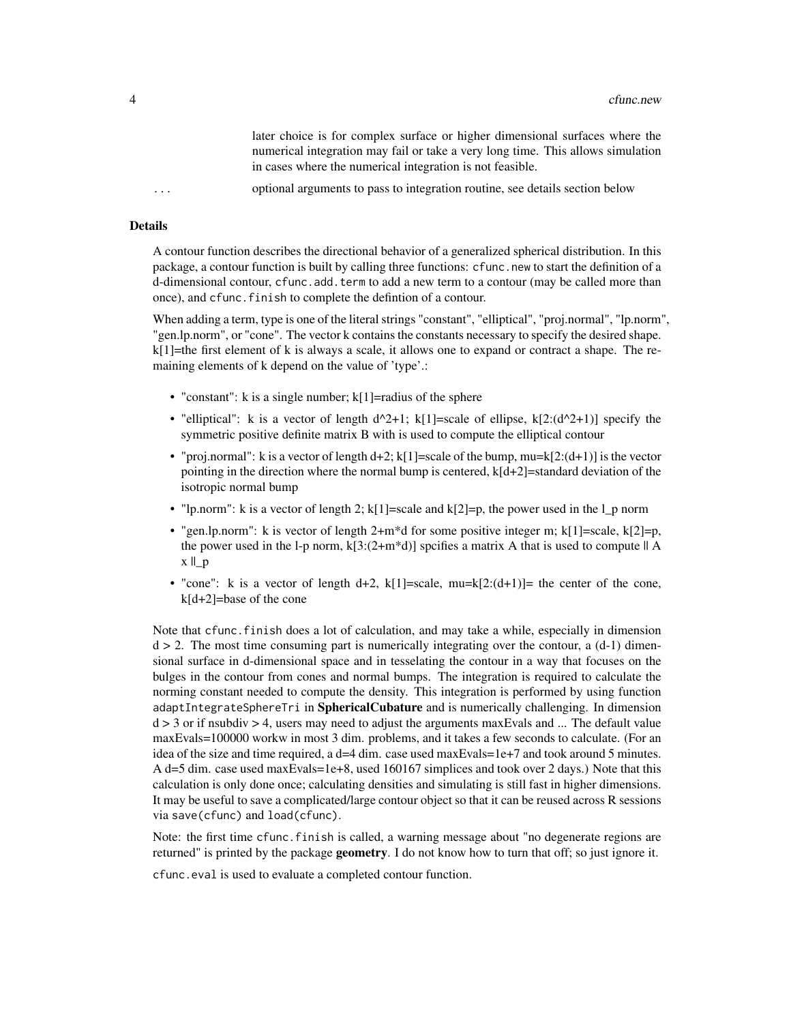later choice is for complex surface or higher dimensional surfaces where the numerical integration may fail or take a very long time. This allows simulation in cases where the numerical integration is not feasible.

... optional arguments to pass to integration routine, see details section below

# Details

A contour function describes the directional behavior of a generalized spherical distribution. In this package, a contour function is built by calling three functions: cfunc.new to start the definition of a d-dimensional contour, cfunc.add.term to add a new term to a contour (may be called more than once), and cfunc.finish to complete the defintion of a contour.

When adding a term, type is one of the literal strings "constant", "elliptical", "proj.normal", "lp.norm", "gen.lp.norm", or "cone". The vector k contains the constants necessary to specify the desired shape.  $k[1]$ =the first element of k is always a scale, it allows one to expand or contract a shape. The remaining elements of k depend on the value of 'type'.:

- "constant":  $k$  is a single number;  $k[1]$ =radius of the sphere
- "elliptical": k is a vector of length  $d^2+1$ ; k[1]=scale of ellipse, k[2:( $d^2+1$ )] specify the symmetric positive definite matrix B with is used to compute the elliptical contour
- "proj.normal": k is a vector of length  $d+2$ ; k[1]=scale of the bump, mu=k[2:( $(d+1)$ ] is the vector pointing in the direction where the normal bump is centered,  $k[d+2]=$ standard deviation of the isotropic normal bump
- "lp.norm": k is a vector of length 2;  $k[1]$ =scale and  $k[2]$ =p, the power used in the l\_p norm
- "gen.lp.norm": k is vector of length  $2+m^*d$  for some positive integer m; k[1]=scale, k[2]=p, the power used in the l-p norm,  $k[3:(2+m*d)]$  spcifies a matrix A that is used to compute  $|| A$  $x \parallel_p$
- "cone": k is a vector of length d+2,  $k[1] = scale$ ,  $mu=k[2:(d+1)] = the center of the cone$ , k[d+2]=base of the cone

Note that cfunc.finish does a lot of calculation, and may take a while, especially in dimension  $d > 2$ . The most time consuming part is numerically integrating over the contour, a  $(d-1)$  dimensional surface in d-dimensional space and in tesselating the contour in a way that focuses on the bulges in the contour from cones and normal bumps. The integration is required to calculate the norming constant needed to compute the density. This integration is performed by using function adaptIntegrateSphereTri in SphericalCubature and is numerically challenging. In dimension  $d > 3$  or if nsubdiv  $> 4$ , users may need to adjust the arguments maxEvals and ... The default value maxEvals=100000 workw in most 3 dim. problems, and it takes a few seconds to calculate. (For an idea of the size and time required, a d=4 dim. case used maxEvals=1e+7 and took around 5 minutes. A d=5 dim. case used maxEvals=1e+8, used 160167 simplices and took over 2 days.) Note that this calculation is only done once; calculating densities and simulating is still fast in higher dimensions. It may be useful to save a complicated/large contour object so that it can be reused across R sessions via save(cfunc) and load(cfunc).

Note: the first time cfunc.finish is called, a warning message about "no degenerate regions are returned" is printed by the package **geometry**. I do not know how to turn that off; so just ignore it.

cfunc.eval is used to evaluate a completed contour function.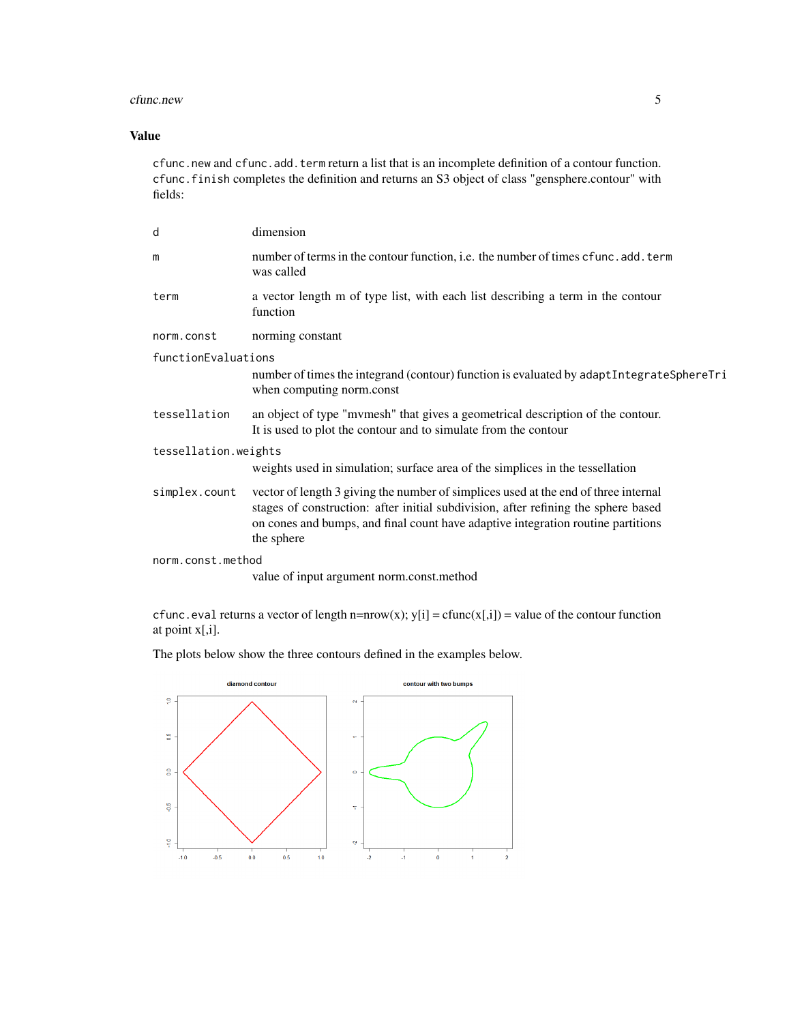#### cfunc.new 5

# Value

cfunc.new and cfunc.add.term return a list that is an incomplete definition of a contour function. cfunc.finish completes the definition and returns an S3 object of class "gensphere.contour" with fields:

| d                    | dimension                                                                                                                                                                                                                                                                   |  |
|----------------------|-----------------------------------------------------------------------------------------------------------------------------------------------------------------------------------------------------------------------------------------------------------------------------|--|
| m                    | number of terms in the contour function, i.e. the number of times cfunc.add.term<br>was called                                                                                                                                                                              |  |
| term                 | a vector length m of type list, with each list describing a term in the contour<br>function                                                                                                                                                                                 |  |
| norm.const           | norming constant                                                                                                                                                                                                                                                            |  |
| functionEvaluations  |                                                                                                                                                                                                                                                                             |  |
|                      | number of times the integrand (contour) function is evaluated by adapt IntegrateSphereTri<br>when computing norm.const                                                                                                                                                      |  |
| tessellation         | an object of type "mymesh" that gives a geometrical description of the contour.<br>It is used to plot the contour and to simulate from the contour                                                                                                                          |  |
| tessellation.weights |                                                                                                                                                                                                                                                                             |  |
|                      | weights used in simulation; surface area of the simplices in the tessellation                                                                                                                                                                                               |  |
| simplex.count        | vector of length 3 giving the number of simplices used at the end of three internal<br>stages of construction: after initial subdivision, after refining the sphere based<br>on cones and bumps, and final count have adaptive integration routine partitions<br>the sphere |  |
| norm.const.method    |                                                                                                                                                                                                                                                                             |  |
|                      | value of input argument norm.const.method                                                                                                                                                                                                                                   |  |
|                      |                                                                                                                                                                                                                                                                             |  |

cfunc.eval returns a vector of length n=nrow(x);  $y[i] = cfunc(x[i]) = value$  of the contour function at point x[,i].

The plots below show the three contours defined in the examples below.

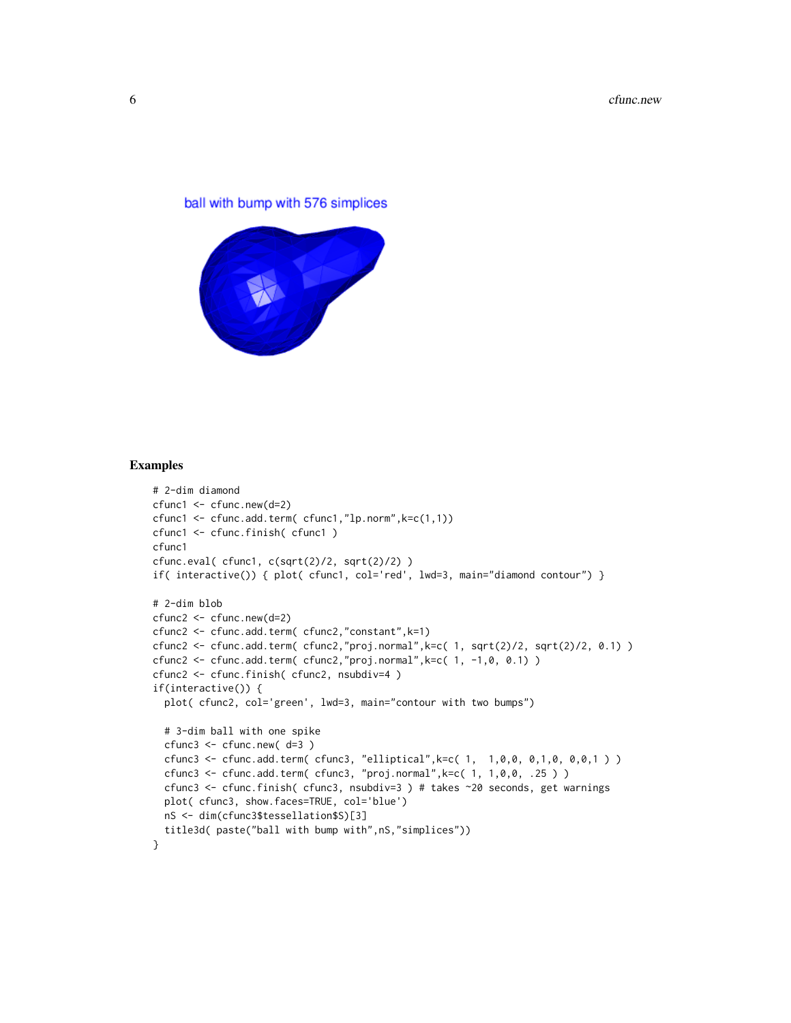# ball with bump with 576 simplices



#### Examples

```
# 2-dim diamond
cfunc1 <- cfunc.new(d=2)
cfunc1 <- cfunc.add.term( cfunc1,"lp.norm",k=c(1,1))
cfunc1 <- cfunc.finish( cfunc1 )
cfunc1
cfunc.eval( cfunc1, c(sqrt(2)/2, sqrt(2)/2) )
if( interactive()) { plot( cfunc1, col='red', lwd=3, main="diamond contour") }
# 2-dim blob
cfunc2 <- cfunc.new(d=2)
cfunc2 <- cfunc.add.term( cfunc2,"constant",k=1)
cfunc2 <- cfunc.add.term( cfunc2,"proj.normal",k=c( 1, sqrt(2)/2, sqrt(2)/2, 0.1) )
cfunc2 <- cfunc.add.term( cfunc2,"proj.normal",k=c( 1, -1,0, 0.1) )
cfunc2 <- cfunc.finish( cfunc2, nsubdiv=4 )
if(interactive()) {
  plot( cfunc2, col='green', lwd=3, main="contour with two bumps")
  # 3-dim ball with one spike
  cfunc3 <- cfunc.new( d=3 )
  cfunc3 <- cfunc.add.term( cfunc3, "elliptical",k=c( 1, 1,0,0, 0,1,0, 0,0,1 ) )
  cfunc3 <- cfunc.add.term( cfunc3, "proj.normal",k=c( 1, 1,0,0, .25 ) )
  cfunc3 <- cfunc.finish( cfunc3, nsubdiv=3 ) # takes ~20 seconds, get warnings
  plot( cfunc3, show.faces=TRUE, col='blue')
  nS <- dim(cfunc3$tessellation$S)[3]
  title3d( paste("ball with bump with",nS,"simplices"))
}
```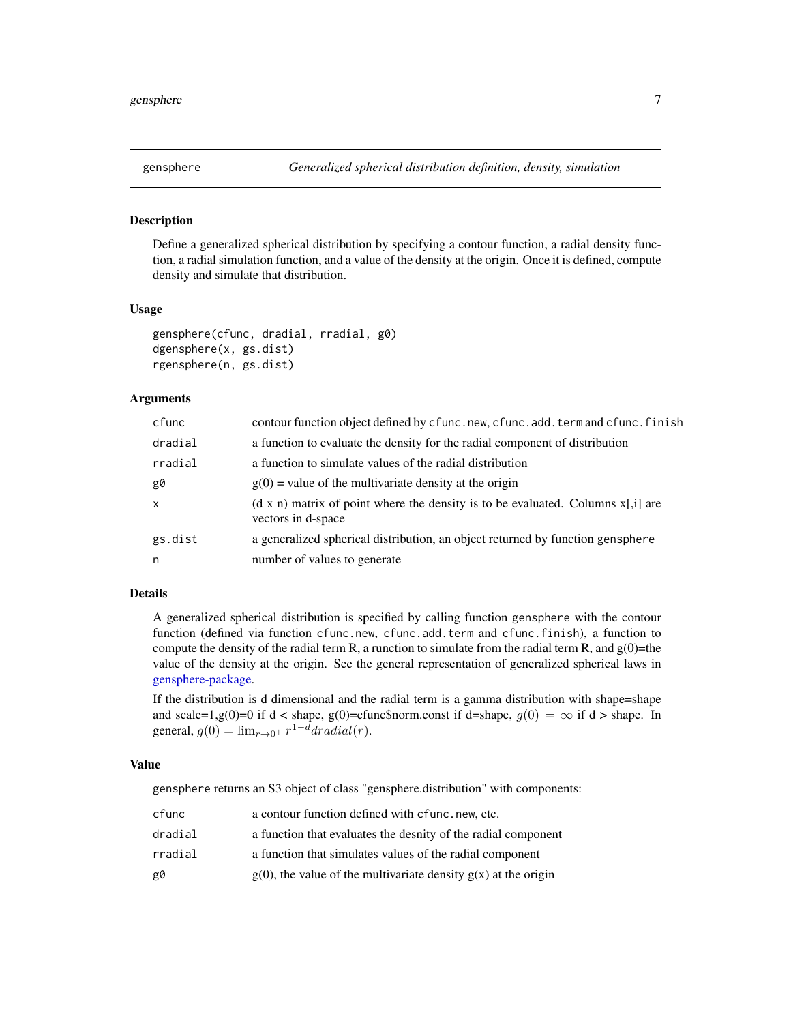<span id="page-6-1"></span><span id="page-6-0"></span>

#### Description

Define a generalized spherical distribution by specifying a contour function, a radial density function, a radial simulation function, and a value of the density at the origin. Once it is defined, compute density and simulate that distribution.

#### Usage

```
gensphere(cfunc, dradial, rradial, g0)
dgensphere(x, gs.dist)
rgensphere(n, gs.dist)
```
#### Arguments

| a function to evaluate the density for the radial component of distribution             |
|-----------------------------------------------------------------------------------------|
|                                                                                         |
|                                                                                         |
|                                                                                         |
| $(d \times n)$ matrix of point where the density is to be evaluated. Columns $x[i]$ are |
| a generalized spherical distribution, an object returned by function gensphere          |
|                                                                                         |
|                                                                                         |

## Details

A generalized spherical distribution is specified by calling function gensphere with the contour function (defined via function cfunc.new, cfunc.add.term and cfunc.finish), a function to compute the density of the radial term R, a runction to simulate from the radial term R, and  $g(0)$ =the value of the density at the origin. See the general representation of generalized spherical laws in [gensphere-package.](#page-1-1)

If the distribution is d dimensional and the radial term is a gamma distribution with shape=shape and scale=1,g(0)=0 if d < shape, g(0)=cfunc\$norm.const if d=shape,  $g(0) = \infty$  if d > shape. In general,  $g(0) = \lim_{r \to 0^+} r^{1-d} dradial(r)$ .

# Value

gensphere returns an S3 object of class "gensphere.distribution" with components:

| cfunc   | a contour function defined with cfunc.new, etc.                     |
|---------|---------------------------------------------------------------------|
| dradial | a function that evaluates the desnity of the radial component       |
| rradial | a function that simulates values of the radial component            |
| g0      | $g(0)$ , the value of the multivariate density $g(x)$ at the origin |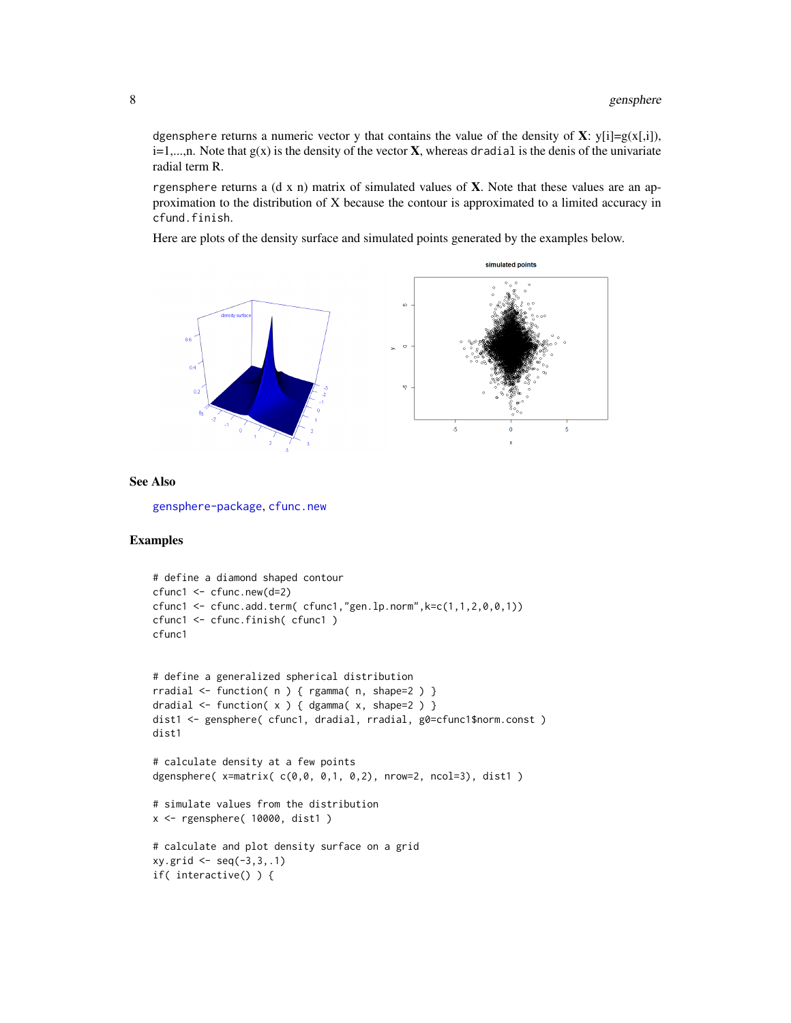<span id="page-7-0"></span>dgensphere returns a numeric vector y that contains the value of the density of **X**: y[i]=g(x[,i]),  $i=1,...,n$ . Note that  $g(x)$  is the density of the vector **X**, whereas dradial is the denis of the univariate radial term R.

rgensphere returns a (d x n) matrix of simulated values of  $X$ . Note that these values are an approximation to the distribution of X because the contour is approximated to a limited accuracy in cfund.finish.

Here are plots of the density surface and simulated points generated by the examples below.



# See Also

[gensphere-package](#page-1-1), [cfunc.new](#page-2-1)

# Examples

```
# define a diamond shaped contour
cfunc1 <- cfunc.new(d=2)
cfunc1 <- cfunc.add.term( cfunc1,"gen.lp.norm",k=c(1,1,2,0,0,1))
cfunc1 <- cfunc.finish( cfunc1 )
cfunc1
# define a generalized spherical distribution
rradial <- function( n ) { rgamma( n, shape=2 ) }
dradial \leq function( x ) { dgamma( x, shape=2 ) }
dist1 <- gensphere( cfunc1, dradial, rradial, g0=cfunc1$norm.const)
dist1
# calculate density at a few points
dgensphere( x=matrix( c(0,0, 0,1, 0,2), nrow=2, ncol=3), dist1 )
# simulate values from the distribution
x <- rgensphere( 10000, dist1 )
# calculate and plot density surface on a grid
xy.getid \leq seq(-3,3,.1)if( interactive() ) {
```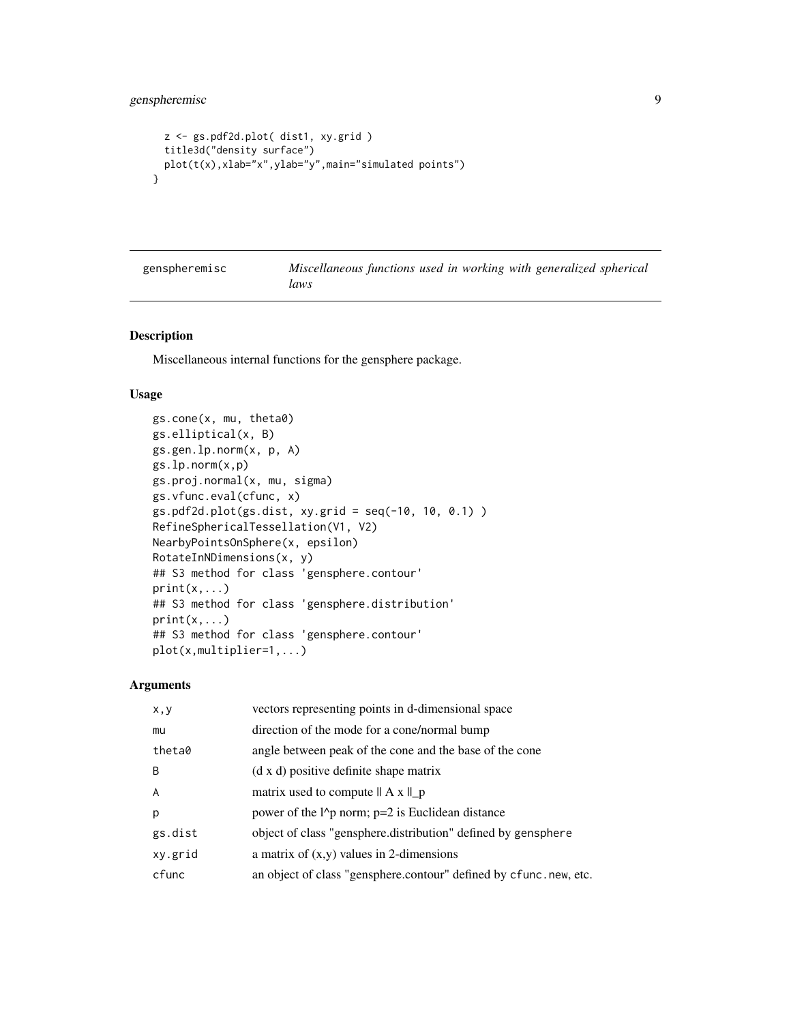```
z <- gs.pdf2d.plot( dist1, xy.grid )
 title3d("density surface")
 plot(t(x),xlab="x",ylab="y",main="simulated points")
}
```
genspheremisc *Miscellaneous functions used in working with generalized spherical laws*

# Description

Miscellaneous internal functions for the gensphere package.

## Usage

```
gs.cone(x, mu, theta0)
gs.elliptical(x, B)
gs.gen.lp.norm(x, p, A)
gs.lp.norm(x,p)
gs.proj.normal(x, mu, sigma)
gs.vfunc.eval(cfunc, x)
gs.pdf2d.plot(gs.dist, xy.grid = seq(-10, 10, 0.1) )
RefineSphericalTessellation(V1, V2)
NearbyPointsOnSphere(x, epsilon)
RotateInNDimensions(x, y)
## S3 method for class 'gensphere.contour'
print(x, \ldots)## S3 method for class 'gensphere.distribution'
print(x, \ldots)## S3 method for class 'gensphere.contour'
plot(x,multiplier=1,...)
```
### Arguments

| x, y    | vectors representing points in d-dimensional space                               |
|---------|----------------------------------------------------------------------------------|
| mu      | direction of the mode for a cone/normal bump                                     |
| theta0  | angle between peak of the cone and the base of the cone                          |
| B       | (d x d) positive definite shape matrix                                           |
| A       | matrix used to compute $   A x   _p$                                             |
| p       | power of the $l$ <sup><math>\land</math></sup> p norm; p=2 is Euclidean distance |
| gs.dist | object of class "gensphere.distribution" defined by gensphere                    |
| xy.grid | a matrix of $(x,y)$ values in 2-dimensions                                       |
| cfunc   | an object of class "gensphere.contour" defined by cfunc.new, etc.                |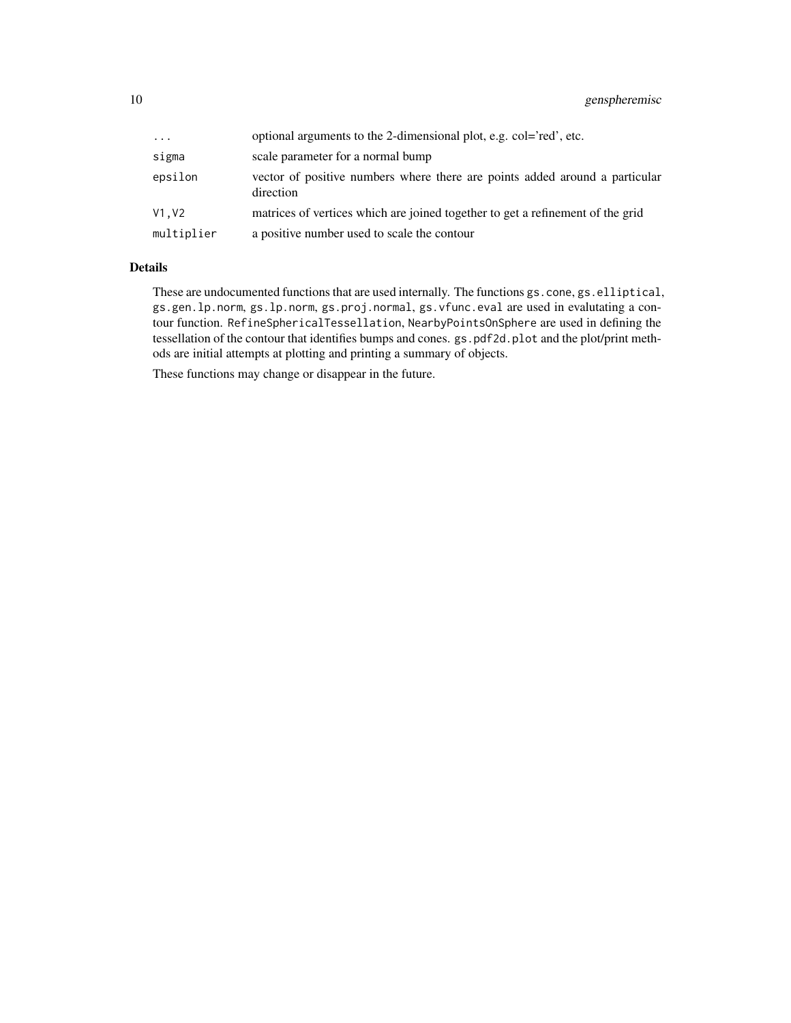| $\cdots$   | optional arguments to the 2-dimensional plot, e.g. col='red', etc.                       |
|------------|------------------------------------------------------------------------------------------|
| sigma      | scale parameter for a normal bump                                                        |
| epsilon    | vector of positive numbers where there are points added around a particular<br>direction |
| V1.V2      | matrices of vertices which are joined together to get a refinement of the grid           |
| multiplier | a positive number used to scale the contour                                              |

# Details

These are undocumented functions that are used internally. The functions gs.cone, gs.elliptical, gs.gen.lp.norm, gs.lp.norm, gs.proj.normal, gs.vfunc.eval are used in evalutating a contour function. RefineSphericalTessellation, NearbyPointsOnSphere are used in defining the tessellation of the contour that identifies bumps and cones. gs.pdf2d.plot and the plot/print methods are initial attempts at plotting and printing a summary of objects.

These functions may change or disappear in the future.